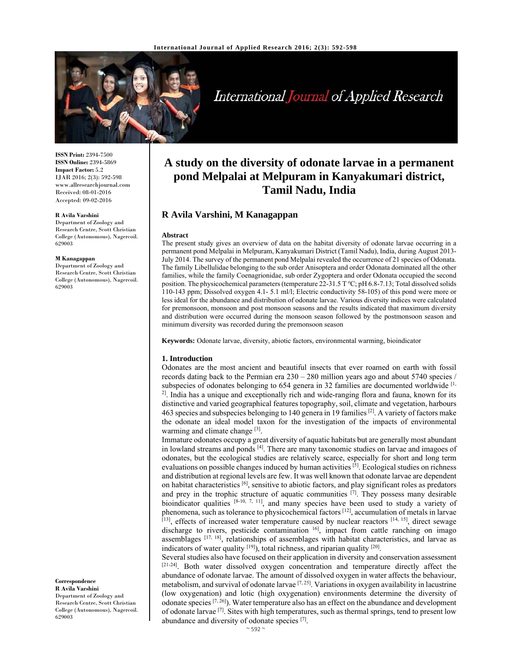

# International Journal of Applied Research

**ISSN Print:** 2394-7500 **ISSN Online:** 2394-5869 **Impact Factor:** 5.2 IJAR 2016; 2(3): 592-598 www.allresearchjournal.com Received: 08-01-2016 Accepted: 09-02-2016

#### **R Avila Varshini**

Department of Zoology and Research Centre, Scott Christian College (Autonomous), Nagercoil. 629003

#### **M Kanagappan**

Department of Zoology and Research Centre, Scott Christian College (Autonomous), Nagercoil. 629003

**Correspondence**

**R Avila Varshini**  Department of Zoology and Research Centre, Scott Christian College (Autonomous), Nagercoil. 629003

# **A study on the diversity of odonate larvae in a permanent pond Melpalai at Melpuram in Kanyakumari district, Tamil Nadu, India**

# **R Avila Varshini, M Kanagappan**

#### **Abstract**

The present study gives an overview of data on the habitat diversity of odonate larvae occurring in a permanent pond Melpalai in Melpuram, Kanyakumari District (Tamil Nadu), India, during August 2013- July 2014. The survey of the permanent pond Melpalai revealed the occurrence of 21 species of Odonata. The family Libellulidae belonging to the sub order Anisoptera and order Odonata dominated all the other families, while the family Coenagrionidae, sub order Zygoptera and order Odonata occupied the second position. The physicochemical parameters (temperature 22-31.5 T°C; pH 6.8-7.13; Total dissolved solids 110-143 ppm; Dissolved oxygen 4.1- 5.1 ml/l; Electric conductivity 58-105) of this pond were more or less ideal for the abundance and distribution of odonate larvae. Various diversity indices were calculated for premonsoon, monsoon and post monsoon seasons and the results indicated that maximum diversity and distribution were occurred during the monsoon season followed by the postmonsoon season and minimum diversity was recorded during the premonsoon season

**Keywords:** Odonate larvae, diversity, abiotic factors, environmental warming, bioindicator

#### **1. Introduction**

Odonates are the most ancient and beautiful insects that ever roamed on earth with fossil records dating back to the Permian era 230 – 280 million years ago and about 5740 species / subspecies of odonates belonging to  $654$  genera in 32 families are documented worldwide  $\left[1\right]$ ,  $2^1$ . India has a unique and exceptionally rich and wide-ranging flora and fauna, known for its distinctive and varied geographical features topography, soil, climate and vegetation, harbours 463 species and subspecies belonging to 140 genera in 19 families <sup>[2]</sup>. A variety of factors make the odonate an ideal model taxon for the investigation of the impacts of environmental warming and climate change [3].

Immature odonates occupy a great diversity of aquatic habitats but are generally most abundant in lowland streams and ponds <sup>[4]</sup>. There are many taxonomic studies on larvae and imagoes of odonates, but the ecological studies are relatively scarce, especially for short and long term evaluations on possible changes induced by human activities [5]. Ecological studies on richness and distribution at regional levels are few. It was well known that odonate larvae are dependent on habitat characteristics [6], sensitive to abiotic factors, and play significant roles as predators and prey in the trophic structure of aquatic communities  $[\overline{7}]$ . They possess many desirable bioindicator qualities  $[8-10, 7, 11]$ , and many species have been used to study a variety of phenomena, such as tolerance to physicochemical factors [12], accumulation of metals in larvae [13], effects of increased water temperature caused by nuclear reactors [14, 15], direct sewage discharge to rivers, pesticide contamination <sup>16</sup>, impact from cattle ranching on imago assemblages [17, 18], relationships of assemblages with habitat characteristics, and larvae as indicators of water quality  $[19]$ , total richness, and riparian quality  $[20]$ .

Several studies also have focused on their application in diversity and conservation assessment [21-24]. Both water dissolved oxygen concentration and temperature directly affect the abundance of odonate larvae. The amount of dissolved oxygen in water affects the behaviour, metabolism, and survival of odonate larvae  $[7, 25]$ . Variations in oxygen availability in lacustrine (low oxygenation) and lotic (high oxygenation) environments determine the diversity of odonate species  $[7, 26]$ ). Water temperature also has an effect on the abundance and development of odonate larvae <sup>[7]</sup>. Sites with high temperatures, such as thermal springs, tend to present low abundance and diversity of odonate species [7].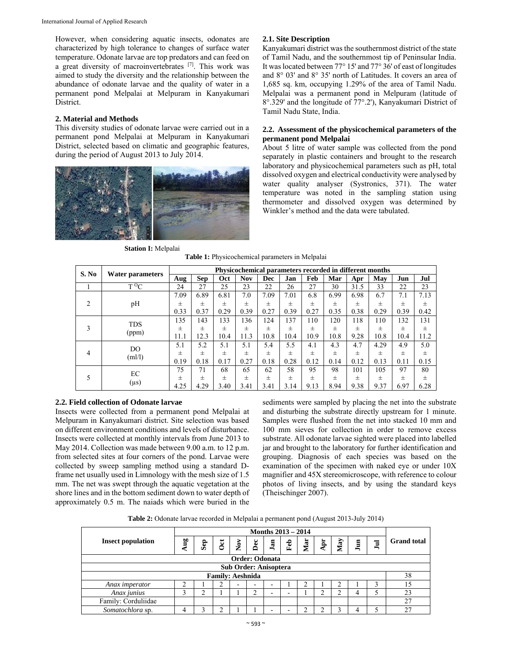However, when considering aquatic insects, odonates are characterized by high tolerance to changes of surface water temperature. Odonate larvae are top predators and can feed on a great diversity of macroinvertebrates <sup>[7]</sup>. This work was aimed to study the diversity and the relationship between the abundance of odonate larvae and the quality of water in a permanent pond Melpalai at Melpuram in Kanyakumari District.

## **2. Material and Methods**

This diversity studies of odonate larvae were carried out in a permanent pond Melpalai at Melpuram in Kanyakumari District, selected based on climatic and geographic features, during the period of August 2013 to July 2014.



#### **2.1. Site Description**

Kanyakumari district was the southernmost district of the state of Tamil Nadu, and the southernmost tip of Peninsular India. It was located between 77° 15' and 77° 36' of east of longitudes and 8° 03' and 8° 35' north of Latitudes. It covers an area of 1,685 sq. km, occupying 1.29% of the area of Tamil Nadu. Melpalai was a permanent pond in Melpuram (latitude of 8°.329' and the longitude of 77°.2'), Kanyakumari District of Tamil Nadu State, India.

#### **2.2. Assessment of the physicochemical parameters of the permanent pond Melpalai**

About 5 litre of water sample was collected from the pond separately in plastic containers and brought to the research laboratory and physicochemical parameters such as pH, total dissolved oxygen and electrical conductivity were analysed by water quality analyser (Systronics, 371). The water temperature was noted in the sampling station using thermometer and dissolved oxygen was determined by Winkler's method and the data were tabulated.

**Station I:** Melpalai **Table 1:** Physicochemical parameters in Melpalai

| S. No          |                     | Physicochemical parameters recorded in different months |            |       |            |                         |       |        |       |       |       |       |       |
|----------------|---------------------|---------------------------------------------------------|------------|-------|------------|-------------------------|-------|--------|-------|-------|-------|-------|-------|
|                | Water parameters    | Aug                                                     | <b>Sep</b> | Oct   | <b>Nov</b> | Dec                     | Jan   | Feb    | Mar   | Apr   | May   | Jun   | Jul   |
|                | $T^{O}C$            | 24                                                      | 27         | 25    | 23         | 22                      | 26    | 27     | 30    | 31.5  | 33    | 22    | 23    |
|                |                     | 7.09                                                    | 6.89       | 6.81  | 7.0        | 7.09                    | 7.01  | 6.8    | 6.99  | 6.98  | 6.7   | 7.1   | 7.13  |
| $\overline{2}$ | pH                  | 士                                                       | 士          | $\pm$ | $\pm$      | $\pm$                   | $\pm$ | $^{+}$ | $\pm$ | $\pm$ | $\pm$ | $\pm$ | 士     |
|                |                     | 0.33                                                    | 0.37       | 0.29  | 0.39       | 0.27                    | 0.39  | 0.27   | 0.35  | 0.38  | 0.29  | 0.39  | 0.42  |
| 3              | <b>TDS</b><br>(ppm) | 135                                                     | 143        | 133   | 136        | 124                     | 137   | 110    | 120   | 118   | 110   | 132   | 131   |
|                |                     | $\pm$                                                   | $\pm$      | $\pm$ | $\pm$      | $\pm$                   | $\pm$ | $^{+}$ | $\pm$ | $\pm$ | $\pm$ | $\pm$ | $\pm$ |
|                |                     | 11.1                                                    | 12.3       | 10.4  | 11.3       | 10.8                    | 10.4  | 10.9   | 10.8  | 9.28  | 10.8  | 10.4  | 11.2  |
| $\overline{4}$ | DO.                 | 5.1                                                     | 5.2        | 5.1   | 5.1        | 5.4                     | 5.5   | 4.1    | 4.3   | 4.7   | 4.29  | 4.9   | 5.0   |
|                |                     | $\pm$                                                   | $\pm$      | $\pm$ | $\pm$      | $\pm$<br>$\pm$<br>$\pm$ | $\pm$ | $\pm$  | $\pm$ | 士     | $\pm$ |       |       |
|                | (m1/1)              | 0.19                                                    | 0.18       | 0.17  | 0.27       | 0.18                    | 0.28  | 0.12   | 0.14  | 0.12  | 0.13  | 0.11  | 0.15  |
|                | EC                  | 75                                                      | 71         | 68    | 65         | 62                      | 58    | 95     | 98    | 101   | 105   | 97    | 80    |
|                |                     | $^{+}$                                                  | $\pm$      | $\pm$ | $\pm$      | $\pm$                   | $\pm$ | $\pm$  | $\pm$ | $\pm$ | $\pm$ | $\pm$ | 士     |
|                | $(\mu s)$           | 4.25                                                    | 4.29       | 3.40  | 3.41       | 3.41                    | 3.14  | 9.13   | 8.94  | 9.38  | 9.37  | 6.97  | 6.28  |

## **2.2. Field collection of Odonate larvae**

Insects were collected from a permanent pond Melpalai at Melpuram in Kanyakumari district. Site selection was based on different environment conditions and levels of disturbance. Insects were collected at monthly intervals from June 2013 to May 2014. Collection was made between 9.00 a.m. to 12 p.m. from selected sites at four corners of the pond. Larvae were collected by sweep sampling method using a standard Dframe net usually used in Limnology with the mesh size of 1.5 mm. The net was swept through the aquatic vegetation at the shore lines and in the bottom sediment down to water depth of approximately 0.5 m. The naiads which were buried in the

sediments were sampled by placing the net into the substrate and disturbing the substrate directly upstream for 1 minute. Samples were flushed from the net into stacked 10 mm and 100 mm sieves for collection in order to remove excess substrate. All odonate larvae sighted were placed into labelled jar and brought to the laboratory for further identification and grouping. Diagnosis of each species was based on the examination of the specimen with naked eye or under 10X magnifier and 45X stereomicroscope, with reference to colour photos of living insects, and by using the standard keys (Theischinger 2007).

**Table 2:** Odonate larvae recorded in Melpalai a permanent pond (August 2013-July 2014)

|                              | <b>Months 2013 - 2014</b> |        |        |                          |     |     |     |     |   |     |   |   |                    |  |
|------------------------------|---------------------------|--------|--------|--------------------------|-----|-----|-----|-----|---|-----|---|---|--------------------|--|
| <b>Insect population</b>     | ηg                        | e<br>Ō | $\cot$ | $\mathbf{N}\mathbf{ov}$  | Dec | Jan | Feb | Mar | Ę | May | E | Б | <b>Grand</b> total |  |
| Order: Odonata               |                           |        |        |                          |     |     |     |     |   |     |   |   |                    |  |
| <b>Sub Order: Anisoptera</b> |                           |        |        |                          |     |     |     |     |   |     |   |   |                    |  |
| <b>Family: Aeshnida</b>      |                           |        |        |                          |     |     |     |     |   | 38  |   |   |                    |  |
| Anax imperator               |                           |        |        | $\overline{\phantom{0}}$ |     |     |     | ◠   |   | ◠   |   |   | 15                 |  |
| Anax junius                  | ◠                         | ◠      |        |                          |     | -   | ۰   |     |   |     |   |   | 23                 |  |
| Family: Corduliidae          |                           |        |        |                          |     |     |     |     |   |     |   |   | 27                 |  |
| Somatochlora sp.             |                           |        |        |                          |     |     | -   |     |   |     |   |   | 27                 |  |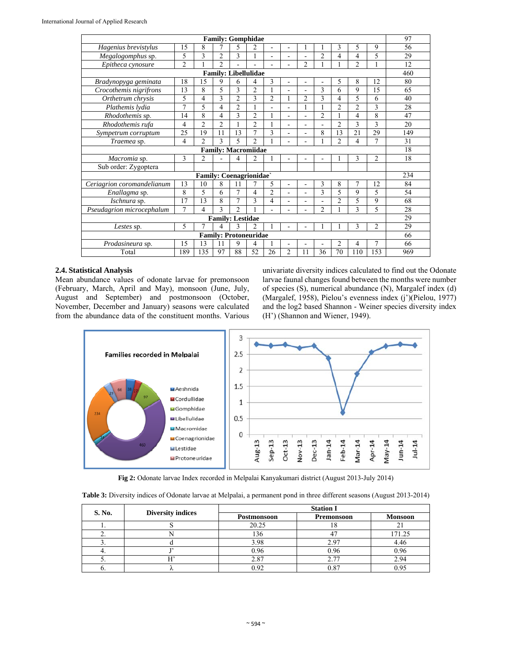| <b>Family: Gomphidae</b>     |                |                               |                            |                          |                |                |                |                          |                |                |                | 97             |     |
|------------------------------|----------------|-------------------------------|----------------------------|--------------------------|----------------|----------------|----------------|--------------------------|----------------|----------------|----------------|----------------|-----|
| Hagenius brevistylus         | 15             | 8                             | 7                          | 5                        | 2              | ÷.             | ä,             | 1                        |                | 3              | 5              | 9              | 56  |
| Megalogomphus sp.            | 5              | 3                             | $\overline{c}$             | 3                        | 1              | ÷.             | -              |                          | $\overline{2}$ | 4              | 4              | 5              | 29  |
| Epitheca cynosure            | $\overline{2}$ | $\mathbf{1}$                  | $\overline{2}$             |                          |                |                |                | $\overline{c}$           |                |                | $\overline{c}$ |                | 12  |
| <b>Family: Libellulidae</b>  |                |                               |                            |                          |                |                |                |                          |                |                |                | 460            |     |
| Bradynopyga geminata         | 18             | 15                            | 9                          | 6                        | 4              | 3              |                |                          |                | 5              | 8              | 12             | 80  |
| Crocothemis nigrifrons       | 13             | 8                             | 5                          | 3                        | $\overline{2}$ |                | $\overline{a}$ |                          | 3              | 6              | 9              | 15             | 65  |
| Orthetrum chrysis            | 5              | 4                             | 3                          | $\overline{2}$           | 3              | $\overline{c}$ | 1              | $\overline{c}$           | $\mathbf{3}$   | 4              | 5              | 6              | 40  |
| Plathemis Ivdia              | $\overline{7}$ | 5                             | 4                          | $\overline{2}$           | 1              | ÷.             | L              | 1                        | 1              | $\mathfrak{D}$ | $\mathfrak{D}$ | 3              | 28  |
| Rhodothemis sp.              | 14             | 8                             | 4                          | 3                        | $\overline{2}$ |                | ۰              | $\blacksquare$           | $\overline{2}$ |                | 4              | 8              | 47  |
| Rhodothemis rufa             | 4              | $\overline{c}$                | $\overline{2}$             |                          | $\overline{2}$ |                | L              | $\blacksquare$           |                | $\mathfrak{D}$ | 3              | 3              | 20  |
| Sympetrum corruptum          | 25             | 19                            | 11                         | 13                       | $\overline{7}$ | 3              | -              | $\overline{a}$           | 8              | 13             | 21             | 29             | 149 |
| Traemea sp.                  | 4              | $\mathfrak{D}$                | 3                          | $\overline{\phantom{0}}$ | $\mathfrak{D}$ |                |                |                          |                | $\overline{2}$ | 4              | $\overline{7}$ | 31  |
|                              |                |                               | <b>Family: Macromiidae</b> |                          |                |                |                |                          |                |                |                |                | 18  |
| Macromia sp.                 | 3              | $\overline{c}$                |                            | 4                        | $\overline{2}$ |                |                |                          |                |                | 3              | $\overline{2}$ | 18  |
| Sub order: Zygoptera         |                |                               |                            |                          |                |                |                |                          |                |                |                |                |     |
|                              |                | <b>Family: Coenagrionidae</b> |                            |                          |                |                |                |                          |                |                |                |                | 234 |
| Ceriagrion coromandelianum   | 13             | 10                            | 8                          | 11                       | 7              | 5              | $\frac{1}{2}$  | $\overline{\phantom{a}}$ | 3              | 8              | 7              | 12             | 84  |
| Enallagma sp.                | 8              | 5                             | 6                          | $\overline{7}$           | 4              | $\mathfrak{D}$ | -              | $\blacksquare$           | 3              | 5              | 9              | 5              | 54  |
| Ischnura sp.                 | 17             | 13                            | 8                          | $\overline{7}$           | 3              | 4              | -              |                          |                | $\overline{2}$ | 5              | 9              | 68  |
| Pseudagrion microcephalum    | $\overline{7}$ | 4                             | 3                          | $\overline{2}$           |                |                |                |                          | $\overline{2}$ |                | 3              | 5              | 28  |
| <b>Family: Lestidae</b>      |                |                               |                            |                          |                |                |                |                          |                |                | 29             |                |     |
| Lestes sp.                   | 5              | 7                             | 4                          | 3                        | $\mathfrak{D}$ |                |                |                          |                |                | 3              | $\overline{2}$ | 29  |
| <b>Family: Protoneuridae</b> |                |                               |                            |                          |                |                |                |                          |                |                | 66             |                |     |
| Prodasineura sp.             | 15             | 13                            | 11                         | 9                        | 4              |                | ۰              | $\blacksquare$           |                | $\overline{2}$ | $\overline{4}$ | 7              | 66  |
| Total                        | 189            | 135                           | 97                         | 88                       | 52             | 26             | $\overline{2}$ | 11                       | 36             | 70             | 110            | 153            | 969 |

#### **2.4. Statistical Analysis**

Mean abundance values of odonate larvae for premonsoon (February, March, April and May), monsoon (June, July, August and September) and postmonsoon (October, November, December and January) seasons were calculated from the abundance data of the constituent months. Various

univariate diversity indices calculated to find out the Odonate larvae faunal changes found between the months were number of species (S), numerical abundance (N), Margalef index (d) (Margalef, 1958), Pielou's evenness index (j')(Pielou, 1977) and the log2 based Shannon - Weiner species diversity index (H') (Shannon and Wiener, 1949).



**Fig 2:** Odonate larvae Index recorded in Melpalai Kanyakumari district (August 2013-July 2014)

|  |  | <b>Table 3:</b> Diversity indices of Odonate larvae at Melpalai, a permanent pond in three different seasons (August 2013-2014) |
|--|--|---------------------------------------------------------------------------------------------------------------------------------|
|  |  |                                                                                                                                 |

| S. No. |                          | <b>Station I</b> |                   |                |  |  |  |  |  |  |
|--------|--------------------------|------------------|-------------------|----------------|--|--|--|--|--|--|
|        | <b>Diversity indices</b> | Postmonsoon      | <b>Premonsoon</b> | <b>Monsoon</b> |  |  |  |  |  |  |
|        |                          | 20.25            | 10                | $\sim$ 1       |  |  |  |  |  |  |
| ـ.     |                          | 136              | 4 <sup>7</sup>    | 171.25         |  |  |  |  |  |  |
|        |                          | 3.98             | 2.97              | 4.46           |  |  |  |  |  |  |
| ᠇.     |                          | 0.96             | 0.96              | 0.96           |  |  |  |  |  |  |
|        |                          | 2.87             | 2.77              | 2.94           |  |  |  |  |  |  |
| v.     |                          | 0.92             | 0.87              | 0.95           |  |  |  |  |  |  |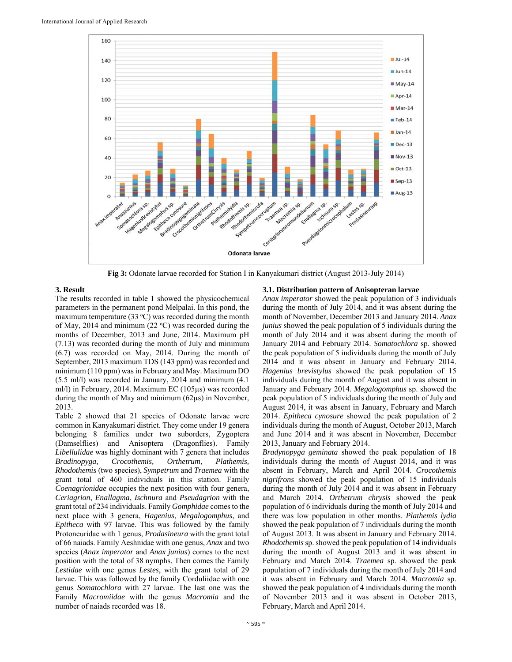

**Fig 3:** Odonate larvae recorded for Station I in Kanyakumari district (August 2013-July 2014)

## **3. Result**

The results recorded in table 1 showed the physicochemical parameters in the permanent pond Melpalai. In this pond, the maximum temperature  $(33 \text{ °C})$  was recorded during the month of May, 2014 and minimum (22  $\textdegree$ C) was recorded during the months of December, 2013 and June, 2014. Maximum pH (7.13) was recorded during the month of July and minimum (6.7) was recorded on May, 2014. During the month of September, 2013 maximum TDS (143 ppm) was recorded and minimum (110 ppm) was in February and May. Maximum DO (5.5 ml/l) was recorded in January, 2014 and minimum (4.1 ml/l) in February, 2014. Maximum EC (105µs) was recorded during the month of May and minimum (62µs) in November, 2013.

Table 2 showed that 21 species of Odonate larvae were common in Kanyakumari district. They come under 19 genera belonging 8 families under two suborders, Zygoptera (Damselflies) and Anisoptera (Dragonflies). Family *Libellulidae* was highly dominant with 7 genera that includes *Bradinopyga, Crocothemis, Orthetrum, Plathemis, Rhodothemis* (two species), *Sympetrum* and *Traemea* with the grant total of 460 individuals in this station. Family *Coenagrionidae* occupies the next position with four genera, *Ceriagrion*, *Enallagma*, *Ischnura* and *Pseudagrion* with the grant total of 234 individuals. Family *Gomphidae* comes to the next place with 3 genera, *Hagenius*, *Megalogomphus*, and *Epitheca* with 97 larvae. This was followed by the family Protoneuridae with 1 genus, *Prodasineura* with the grant total of 66 naiads. Family Aeshnidae with one genus, *Anax* and two species (*Anax imperator* and *Anax junius*) comes to the next position with the total of 38 nymphs. Then comes the Family *Lestidae* with one genus *Lestes*, with the grant total of 29 larvae. This was followed by the family Corduliidae with one genus *Somatochlora* with 27 larvae. The last one was the Family *Macromiidae* with the genus *Macromia* and the number of naiads recorded was 18.

## **3.1. Distribution pattern of Anisopteran larvae**

*Anax imperator* showed the peak population of 3 individuals during the month of July 2014, and it was absent during the month of November, December 2013 and January 2014. *Anax junius* showed the peak population of 5 individuals during the month of July 2014 and it was absent during the month of January 2014 and February 2014. *Somatochlora* sp. showed the peak population of 5 individuals during the month of July 2014 and it was absent in January and February 2014. *Hagenius brevistylus* showed the peak population of 15 individuals during the month of August and it was absent in January and February 2014. *Megalogomphus* sp. showed the peak population of 5 individuals during the month of July and August 2014, it was absent in January, February and March 2014. *Epitheca cynosure* showed the peak population of 2 individuals during the month of August, October 2013, March and June 2014 and it was absent in November, December 2013, January and February 2014.

*Bradynopyga geminata* showed the peak population of 18 individuals during the month of August 2014, and it was absent in February, March and April 2014. *Crocothemis nigrifrons* showed the peak population of 15 individuals during the month of July 2014 and it was absent in February and March 2014. *Orthetrum chrysis* showed the peak population of 6 individuals during the month of July 2014 and there was low population in other months. *Plathemis lydia* showed the peak population of 7 individuals during the month of August 2013. It was absent in January and February 2014. *Rhodothemis* sp. showed the peak population of 14 individuals during the month of August 2013 and it was absent in February and March 2014. *Traemea* sp. showed the peak population of 7 individuals during the month of July 2014 and it was absent in February and March 2014. *Macromia* sp. showed the peak population of 4 individuals during the month of November 2013 and it was absent in October 2013, February, March and April 2014.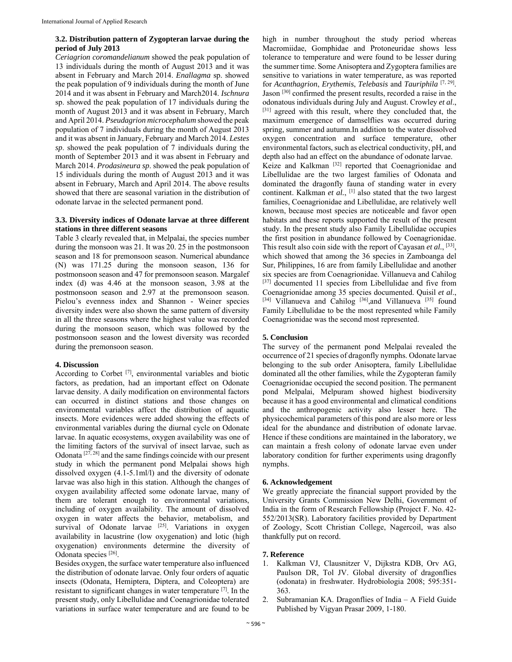#### **3.2. Distribution pattern of Zygopteran larvae during the period of July 2013**

*Ceriagrion coromandelianum* showed the peak population of 13 individuals during the month of August 2013 and it was absent in February and March 2014. *Enallagma* sp. showed the peak population of 9 individuals during the month of June 2014 and it was absent in February and March2014. *Ischnura* sp. showed the peak population of 17 individuals during the month of August 2013 and it was absent in February, March and April 2014. *Pseudagrion microcephalum* showed the peak population of 7 individuals during the month of August 2013 and it was absent in January, February and March 2014. *Lestes sp*. showed the peak population of 7 individuals during the month of September 2013 and it was absent in February and March 2014. *Prodasineura sp*. showed the peak population of 15 individuals during the month of August 2013 and it was absent in February, March and April 2014. The above results showed that there are seasonal variation in the distribution of odonate larvae in the selected permanent pond.

#### **3.3. Diversity indices of Odonate larvae at three different stations in three different seasons**

Table 3 clearly revealed that, in Melpalai, the species number during the monsoon was 21. It was 20. 25 in the postmonsoon season and 18 for premonsoon season. Numerical abundance (N) was 171.25 during the monsoon season, 136 for postmonsoon season and 47 for premonsoon season. Margalef index (d) was 4.46 at the monsoon season, 3.98 at the postmonsoon season and 2.97 at the premonsoon season. Pielou's evenness index and Shannon - Weiner species diversity index were also shown the same pattern of diversity in all the three seasons where the highest value was recorded during the monsoon season, which was followed by the postmonsoon season and the lowest diversity was recorded during the premonsoon season.

#### **4. Discussion**

According to Corbet [7], environmental variables and biotic factors, as predation, had an important effect on Odonate larvae density. A daily modification on environmental factors can occurred in distinct stations and those changes on environmental variables affect the distribution of aquatic insects. More evidences were added showing the effects of environmental variables during the diurnal cycle on Odonate larvae. In aquatic ecosystems, oxygen availability was one of the limiting factors of the survival of insect larvae, such as Odonata  $[27, 28]$  and the same findings coincide with our present study in which the permanent pond Melpalai shows high dissolved oxygen (4.1-5.1ml/l) and the diversity of odonate larvae was also high in this station. Although the changes of oxygen availability affected some odonate larvae, many of them are tolerant enough to environmental variations, including of oxygen availability. The amount of dissolved oxygen in water affects the behavior, metabolism, and survival of Odonate larvae  $[25]$ . Variations in oxygen availability in lacustrine (low oxygenation) and lotic (high oxygenation) environments determine the diversity of Odonata species [26].

Besides oxygen, the surface water temperature also influenced the distribution of odonate larvae. Only four orders of aquatic insects (Odonata, Hemiptera, Diptera, and Coleoptera) are resistant to significant changes in water temperature [7]. In the present study, only Libellulidae and Coenagrionidae tolerated variations in surface water temperature and are found to be

high in number throughout the study period whereas Macromiidae, Gomphidae and Protoneuridae shows less tolerance to temperature and were found to be lesser during the summer time. Some Anisoptera and Zygoptera families are sensitive to variations in water temperature, as was reported for *Acanthagrion*, *Erythemis*, *Telebasis* and *Tauriphila* [7, 29]. Jason [30] confirmed the present results, recorded a raise in the odonatous individuals during July and August. Crowley *et al*., [31] agreed with this result, where they concluded that, the maximum emergence of damselflies was occurred during spring, summer and autumn.In addition to the water dissolved oxygen concentration and surface temperature, other environmental factors, such as electrical conductivity, pH, and depth also had an effect on the abundance of odonate larvae. Keize and Kalkman<sup>[32]</sup> reported that Coenagrionidae and Libellulidae are the two largest families of Odonata and dominated the dragonfly fauna of standing water in every continent. Kalkman et al., <sup>[1]</sup> also stated that the two largest families, Coenagrionidae and Libellulidae, are relatively well known, because most species are noticeable and favor open habitats and these reports supported the result of the present study. In the present study also Family Libellulidae occupies the first position in abundance followed by Coenagrionidae. This result also coin side with the report of Cayasan *et al.*, [33], which showed that among the 36 species in Zamboanga del Sur, Philippines, 16 are from family Libellulidae and another six species are from Coenagrionidae. Villanueva and Cahilog [37] documented 11 species from Libellulidae and five from Coenagrionidae among 35 species documented. Quisil *et al.*, [34] Villanueva and Cahilog <sup>[36]</sup>,and Villanueva <sup>[35]</sup> found Family Libellulidae to be the most represented while Family Coenagrionidae was the second most represented.

## **5. Conclusion**

The survey of the permanent pond Melpalai revealed the occurrence of 21 species of dragonfly nymphs. Odonate larvae belonging to the sub order Anisoptera, family Libellulidae dominated all the other families, while the Zygopteran family Coenagrionidae occupied the second position. The permanent pond Melpalai, Melpuram showed highest biodiversity because it has a good environmental and climatical conditions and the anthropogenic activity also lesser here. The physicochemical parameters of this pond are also more or less ideal for the abundance and distribution of odonate larvae. Hence if these conditions are maintained in the laboratory, we can maintain a fresh colony of odonate larvae even under laboratory condition for further experiments using dragonfly nymphs.

## **6. Acknowledgement**

We greatly appreciate the financial support provided by the University Grants Commission New Delhi, Government of India in the form of Research Fellowship (Project F. No. 42- 552/2013(SR). Laboratory facilities provided by Department of Zoology, Scott Christian College, Nagercoil, was also thankfully put on record.

#### **7. Reference**

- 1. Kalkman VJ, Clausnitzer V, Dijkstra KDB, Orv AG, Paulson DR, Tol JV. Global diversity of dragonflies (odonata) in freshwater. Hydrobiologia 2008; 595:351- 363.
- 2. Subramanian KA. Dragonflies of India A Field Guide Published by Vigyan Prasar 2009, 1-180.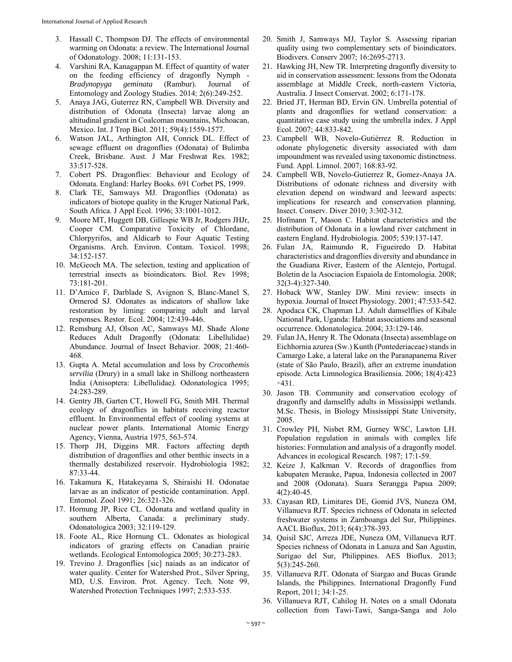- 3. Hassall C, Thompson DJ. The effects of environmental warming on Odonata: a review. The International Journal of Odonatology. 2008; 11:131-153.
- 4. Varshini RA, Kanagappan M. Effect of quantity of water on the feeding efficiency of dragonfly Nymph - *Bradynopyga geminata* (Rambur). Journal of Entomology and Zoology Studies. 2014; 2(6):249-252.
- 5. Anaya JAG, Guterrez RN, Campbell WB. Diversity and distribution of Odonata (Insecta) larvae along an altitudinal gradient in Coalcoman mountains, Michoacan, Mexico. Int. J Trop Biol. 2011; 59(4):1559-1577.
- 6. Watson JAL, Arthington AH, Conrick DL. Effect of sewage effluent on dragonflies (Odonata) of Bulimba Creek, Brisbane. Aust. J Mar Freshwat Res. 1982; 33:517-528.
- 7. Cobert PS. Dragonflies: Behaviour and Ecology of Odonata. England: Harley Books. 691 Corbet PS, 1999.
- 8. Clark TE, Samways MJ. Dragonflies (Odonata) as indicators of biotope quality in the Kruger National Park, South Africa. J Appl Ecol. 1996; 33:1001-1012.
- 9. Moore MT, Huggett DB, Gillespie WB Jr, Rodgers JHJr, Cooper CM. Comparative Toxicity of Chlordane, Chlorpyrifos, and Aldicarb to Four Aquatic Testing Organisms. Arch. Environ. Contam. Toxicol. 1998; 34:152-157.
- 10. McGeoch MA. The selection, testing and application of terrestrial insects as bioindicators*.* Biol. Rev 1998; 73:181-201.
- 11. D'Amico F, Darblade S, Avignon S, Blanc-Manel S, Ormerod SJ. Odonates as indicators of shallow lake restoration by liming: comparing adult and larval responses*.* Restor. Ecol. 2004; 12:439-446.
- 12. Remsburg AJ, Olson AC, Samways MJ. Shade Alone Reduces Adult Dragonfly (Odonata: Libellulidae) Abundance*.* Journal of Insect Behavior. 2008; 21:460- 468.
- 13. Gupta A. Metal accumulation and loss by *Crocothemis servilia* (Drury) in a small lake in Shillong northeastern India (Anisoptera: Libellulidae*).* Odonatologica 1995; 24:283-289.
- 14. Gentry JB, Garten CT, Howell FG, Smith MH. Thermal ecology of dragonflies in habitats receiving reactor effluent. In Environmental effect of cooling systems at nuclear power plants. International Atomic Energy Agency, Vienna, Austria 1975, 563-574.
- 15. Thorp JH, Diggins MR. Factors affecting depth distribution of dragonflies and other benthic insects in a thermally destabilized reservoir. Hydrobiologia 1982; 87:33-44.
- 16. Takamura K, Hatakeyama S, Shiraishi H. Odonatae larvae as an indicator of pesticide contamination. Appl. Entomol. Zool 1991; 26:321-326.
- 17. Hornung JP, Rice CL. Odonata and wetland quality in southern Alberta, Canada: a preliminary study. Odonatologica 2003; 32:119-129.
- 18. Foote AL, Rice Hornung CL. Odonates as biological indicators of grazing effects on Canadian prairie wetlands. Ecological Entomologica 2005; 30:273-283.
- 19. Trevino J. Dragonflies [sic] naiads as an indicator of water quality. Center for Watershed Prot., Silver Spring, MD, U.S. Environ. Prot. Agency. Tech. Note 99, Watershed Protection Techniques 1997; 2:533-535.
- 20. Smith J, Samways MJ, Taylor S. Assessing riparian quality using two complementary sets of bioindicators*.*  Biodivers. Conserv 2007; 16:2695-2713.
- 21. Hawking JH, New TR. Interpreting dragonfly diversity to aid in conservation assessment: lessons from the Odonata assemblage at Middle Creek, north-eastern Victoria, Australia. J Insect Conservat. 2002; 6:171-178.
- 22. Bried JT, Herman BD, Ervin GN. Umbrella potential of plants and dragonflies for wetland conservation: a quantitative case study using the umbrella index*.* J Appl Ecol. 2007; 44:833-842.
- 23. Campbell WB, Novelo-Gutiérrez R. Reduction in odonate phylogenetic diversity associated with dam impoundment was revealed using taxonomic distinctness. Fund. Appl. Limnol. 2007; 168:83-92.
- 24. Campbell WB, Novelo-Gutierrez R, Gomez-Anaya JA. Distributions of odonate richness and diversity with elevation depend on windward and leeward aspects: implications for research and conservation planning*.*  Insect. Conserv. Diver 2010; 3:302-312.
- 25. Hofmann T, Mason C. Habitat characteristics and the distribution of Odonata in a lowland river catchment in eastern England. Hydrobiologia. 2005; 539:137-147.
- 26. Fulan JA, Raimundo R, Figueiredo D. Habitat characteristics and dragonflies diversity and abundance in the Guadiana River, Eastern of the Alentejo, Portugal. Boletin de la Asociacion Espaiola de Entomologia. 2008; 32(3-4):327-340.
- 27. Hoback WW, Stanley DW. Mini review: insects in hypoxia. Journal of Insect Physiology. 2001; 47:533-542.
- 28. Apodaca CK, Chapman LJ. Adult damselflies of Kibale National Park, Uganda: Habitat associations and seasonal occurrence. Odonatologica. 2004; 33:129-146.
- 29. Fulan JA, Henry R. The Odonata (Insecta) assemblage on Eichhornia azurea (Sw.) Kunth (Pontederiaceae) stands in Camargo Lake, a lateral lake on the Paranapanema River (state of São Paulo, Brazil), after an extreme inundation episode. Acta Limnologica Brasiliensia. 2006; 18(4):423 ‑431.
- 30. Jason TB. Community and conservation ecology of dragonfly and damselfly adults in Mississippi wetlands. M.Sc. Thesis, in Biology Mississippi State University, 2005.
- 31. Crowley PH, Nisbet RM, Gurney WSC, Lawton LH. Population regulation in animals with complex life histories: Formulation and analysis of a dragonfly model. Advances in ecological Research. 1987; 17:1-59.
- 32. Keize J, Kalkman V. Records of dragonflies from kabupaten Merauke, Papua, Indonesia collected in 2007 and 2008 (Odonata). Suara Serangga Papua 2009; 4(2):40-45.
- 33. Cayasan RD, Limitares DE, Gomid JVS, Nuneza OM, Villanueva RJT. Species richness of Odonata in selected freshwater systems in Zamboanga del Sur, Philippines. AACL Bioflux, 2013; 6(4):378-393.
- 34. Quisil SJC, Arreza JDE, Nuneza OM, Villanueva RJT. Species richness of Odonata in Lanuza and San Agustin, Surigao del Sur, Philippines. AES Bioflux. 2013; 5(3):245-260.
- 35. Villanueva RJT. Odonata of Siargao and Bucas Grande Islands, the Philippines. International Dragonfly Fund Report, 2011; 34:1-25.
- 36. Villanueva RJT, Cahilog H. Notes on a small Odonata collection from Tawi-Tawi, Sanga-Sanga and Jolo